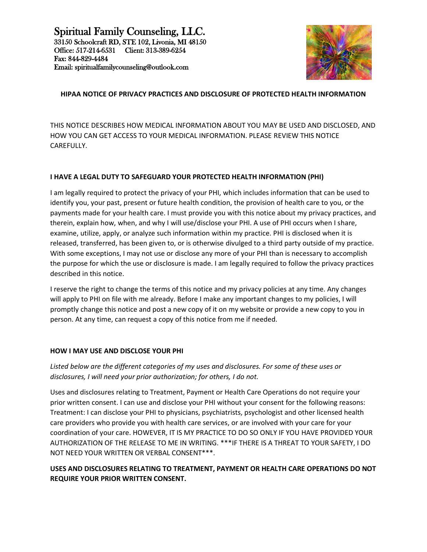

# **HIPAA NOTICE OF PRIVACY PRACTICES AND DISCLOSURE OF PROTECTED HEALTH INFORMATION**

THIS NOTICE DESCRIBES HOW MEDICAL INFORMATION ABOUT YOU MAY BE USED AND DISCLOSED, AND HOW YOU CAN GET ACCESS TO YOUR MEDICAL INFORMATION. PLEASE REVIEW THIS NOTICE CAREFULLY.

### **I HAVE A LEGAL DUTY TO SAFEGUARD YOUR PROTECTED HEALTH INFORMATION (PHI)**

I am legally required to protect the privacy of your PHI, which includes information that can be used to identify you, your past, present or future health condition, the provision of health care to you, or the payments made for your health care. I must provide you with this notice about my privacy practices, and therein, explain how, when, and why I will use/disclose your PHI. A use of PHI occurs when I share, examine, utilize, apply, or analyze such information within my practice. PHI is disclosed when it is released, transferred, has been given to, or is otherwise divulged to a third party outside of my practice. With some exceptions, I may not use or disclose any more of your PHI than is necessary to accomplish the purpose for which the use or disclosure is made. I am legally required to follow the privacy practices described in this notice.

I reserve the right to change the terms of this notice and my privacy policies at any time. Any changes will apply to PHI on file with me already. Before I make any important changes to my policies, I will promptly change this notice and post a new copy of it on my website or provide a new copy to you in person. At any time, can request a copy of this notice from me if needed.

### **HOW I MAY USE AND DISCLOSE YOUR PHI**

*Listed below are the different categories of my uses and disclosures. For some of these uses or disclosures, I will need your prior authorization; for others, I do not.*

Uses and disclosures relating to Treatment, Payment or Health Care Operations do not require your prior written consent. I can use and disclose your PHI without your consent for the following reasons: Treatment: I can disclose your PHI to physicians, psychiatrists, psychologist and other licensed health care providers who provide you with health care services, or are involved with your care for your coordination of your care. HOWEVER, IT IS MY PRACTICE TO DO SO ONLY IF YOU HAVE PROVIDED YOUR AUTHORIZATION OF THE RELEASE TO ME IN WRITING. \*\*\*IF THERE IS A THREAT TO YOUR SAFETY, I DO NOT NEED YOUR WRITTEN OR VERBAL CONSENT\*\*\*.

# **USES AND DISCLOSURES RELATING TO TREATMENT, PAYMENT OR HEALTH CARE OPERATIONS DO NOT REQUIRE YOUR PRIOR WRITTEN CONSENT.**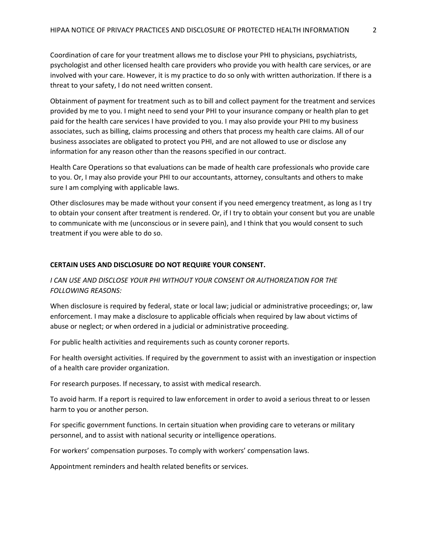Coordination of care for your treatment allows me to disclose your PHI to physicians, psychiatrists, psychologist and other licensed health care providers who provide you with health care services, or are involved with your care. However, it is my practice to do so only with written authorization. If there is a threat to your safety, I do not need written consent.

Obtainment of payment for treatment such as to bill and collect payment for the treatment and services provided by me to you. I might need to send your PHI to your insurance company or health plan to get paid for the health care services I have provided to you. I may also provide your PHI to my business associates, such as billing, claims processing and others that process my health care claims. All of our business associates are obligated to protect you PHI, and are not allowed to use or disclose any information for any reason other than the reasons specified in our contract.

Health Care Operations so that evaluations can be made of health care professionals who provide care to you. Or, I may also provide your PHI to our accountants, attorney, consultants and others to make sure I am complying with applicable laws.

Other disclosures may be made without your consent if you need emergency treatment, as long as I try to obtain your consent after treatment is rendered. Or, if I try to obtain your consent but you are unable to communicate with me (unconscious or in severe pain), and I think that you would consent to such treatment if you were able to do so.

#### **CERTAIN USES AND DISCLOSURE DO NOT REQUIRE YOUR CONSENT.**

*I CAN USE AND DISCLOSE YOUR PHI WITHOUT YOUR CONSENT OR AUTHORIZATION FOR THE FOLLOWING REASONS:*

When disclosure is required by federal, state or local law; judicial or administrative proceedings; or, law enforcement. I may make a disclosure to applicable officials when required by law about victims of abuse or neglect; or when ordered in a judicial or administrative proceeding.

For public health activities and requirements such as county coroner reports.

For health oversight activities. If required by the government to assist with an investigation or inspection of a health care provider organization.

For research purposes. If necessary, to assist with medical research.

To avoid harm. If a report is required to law enforcement in order to avoid a serious threat to or lessen harm to you or another person.

For specific government functions. In certain situation when providing care to veterans or military personnel, and to assist with national security or intelligence operations.

For workers' compensation purposes. To comply with workers' compensation laws.

Appointment reminders and health related benefits or services.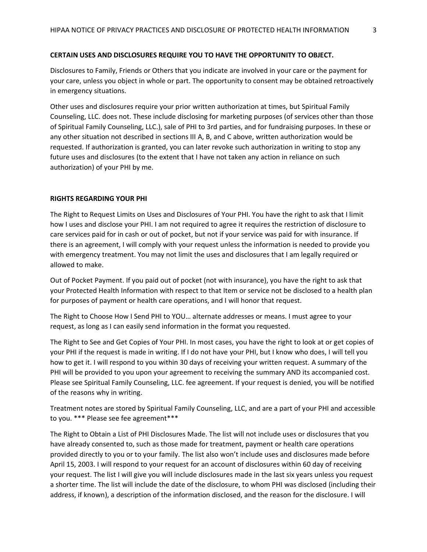#### **CERTAIN USES AND DISCLOSURES REQUIRE YOU TO HAVE THE OPPORTUNITY TO OBJECT.**

Disclosures to Family, Friends or Others that you indicate are involved in your care or the payment for your care, unless you object in whole or part. The opportunity to consent may be obtained retroactively in emergency situations.

Other uses and disclosures require your prior written authorization at times, but Spiritual Family Counseling, LLC. does not. These include disclosing for marketing purposes (of services other than those of Spiritual Family Counseling, LLC.), sale of PHI to 3rd parties, and for fundraising purposes. In these or any other situation not described in sections III A, B, and C above, written authorization would be requested. If authorization is granted, you can later revoke such authorization in writing to stop any future uses and disclosures (to the extent that I have not taken any action in reliance on such authorization) of your PHI by me.

#### **RIGHTS REGARDING YOUR PHI**

The Right to Request Limits on Uses and Disclosures of Your PHI. You have the right to ask that I limit how I uses and disclose your PHI. I am not required to agree it requires the restriction of disclosure to care services paid for in cash or out of pocket, but not if your service was paid for with insurance. If there is an agreement, I will comply with your request unless the information is needed to provide you with emergency treatment. You may not limit the uses and disclosures that I am legally required or allowed to make.

Out of Pocket Payment. If you paid out of pocket (not with insurance), you have the right to ask that your Protected Health Information with respect to that Item or service not be disclosed to a health plan for purposes of payment or health care operations, and I will honor that request.

The Right to Choose How I Send PHI to YOU… alternate addresses or means. I must agree to your request, as long as I can easily send information in the format you requested.

The Right to See and Get Copies of Your PHI. In most cases, you have the right to look at or get copies of your PHI if the request is made in writing. If I do not have your PHI, but I know who does, I will tell you how to get it. I will respond to you within 30 days of receiving your written request. A summary of the PHI will be provided to you upon your agreement to receiving the summary AND its accompanied cost. Please see Spiritual Family Counseling, LLC. fee agreement. If your request is denied, you will be notified of the reasons why in writing.

Treatment notes are stored by Spiritual Family Counseling, LLC, and are a part of your PHI and accessible to you. \*\*\* Please see fee agreement\*\*\*

The Right to Obtain a List of PHI Disclosures Made. The list will not include uses or disclosures that you have already consented to, such as those made for treatment, payment or health care operations provided directly to you or to your family. The list also won't include uses and disclosures made before April 15, 2003. I will respond to your request for an account of disclosures within 60 day of receiving your request. The list I will give you will include disclosures made in the last six years unless you request a shorter time. The list will include the date of the disclosure, to whom PHI was disclosed (including their address, if known), a description of the information disclosed, and the reason for the disclosure. I will